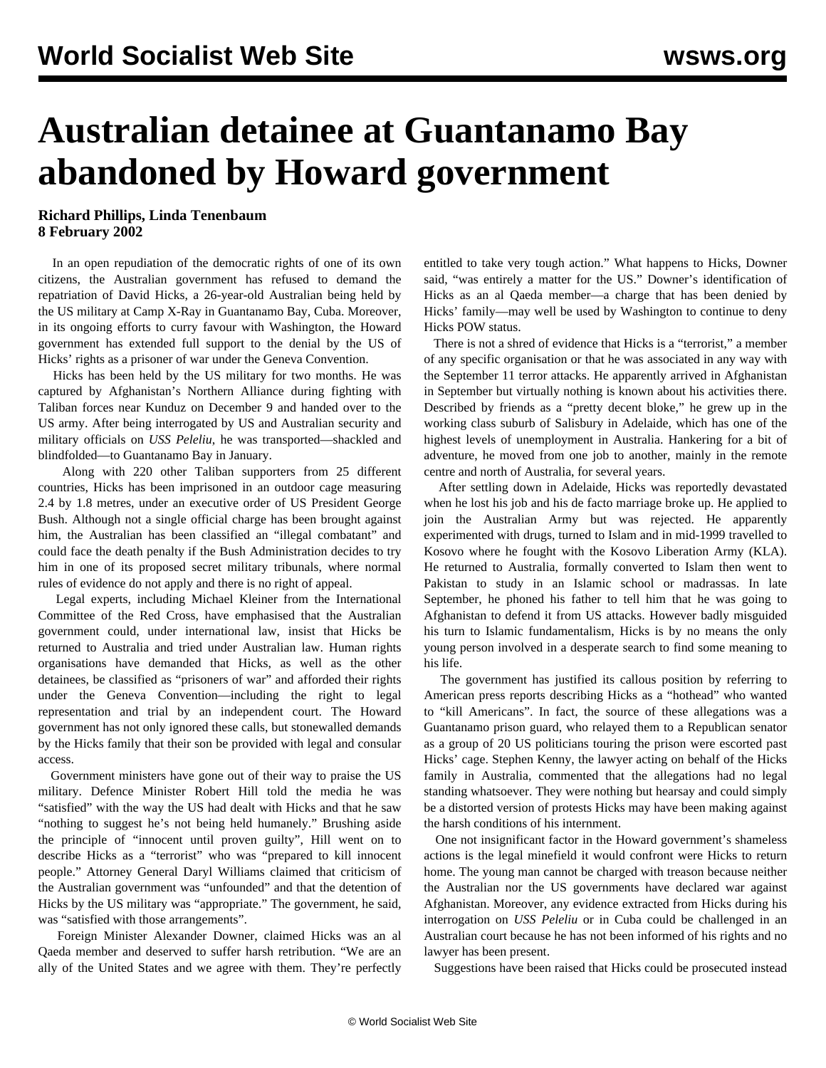## **Australian detainee at Guantanamo Bay abandoned by Howard government**

## **Richard Phillips, Linda Tenenbaum 8 February 2002**

 In an open repudiation of the democratic rights of one of its own citizens, the Australian government has refused to demand the repatriation of David Hicks, a 26-year-old Australian being held by the US military at Camp X-Ray in Guantanamo Bay, Cuba. Moreover, in its ongoing efforts to curry favour with Washington, the Howard government has extended full support to the denial by the US of Hicks' rights as a prisoner of war under the Geneva Convention.

 Hicks has been held by the US military for two months. He was captured by Afghanistan's Northern Alliance during fighting with Taliban forces near Kunduz on December 9 and handed over to the US army. After being interrogated by US and Australian security and military officials on *USS Peleliu*, he was transported—shackled and blindfolded—to Guantanamo Bay in January.

 Along with 220 other Taliban supporters from 25 different countries, Hicks has been imprisoned in an outdoor cage measuring 2.4 by 1.8 metres, under an executive order of US President George Bush. Although not a single official charge has been brought against him, the Australian has been classified an "illegal combatant" and could face the death penalty if the Bush Administration decides to try him in one of its proposed secret military tribunals, where normal rules of evidence do not apply and there is no right of appeal.

 Legal experts, including Michael Kleiner from the International Committee of the Red Cross, have emphasised that the Australian government could, under international law, insist that Hicks be returned to Australia and tried under Australian law. Human rights organisations have demanded that Hicks, as well as the other detainees, be classified as "prisoners of war" and afforded their rights under the Geneva Convention—including the right to legal representation and trial by an independent court. The Howard government has not only ignored these calls, but stonewalled demands by the Hicks family that their son be provided with legal and consular access.

 Government ministers have gone out of their way to praise the US military. Defence Minister Robert Hill told the media he was "satisfied" with the way the US had dealt with Hicks and that he saw "nothing to suggest he's not being held humanely." Brushing aside the principle of "innocent until proven guilty", Hill went on to describe Hicks as a "terrorist" who was "prepared to kill innocent people." Attorney General Daryl Williams claimed that criticism of the Australian government was "unfounded" and that the detention of Hicks by the US military was "appropriate." The government, he said, was "satisfied with those arrangements".

 Foreign Minister Alexander Downer, claimed Hicks was an al Qaeda member and deserved to suffer harsh retribution. "We are an ally of the United States and we agree with them. They're perfectly entitled to take very tough action." What happens to Hicks, Downer said, "was entirely a matter for the US." Downer's identification of Hicks as an al Qaeda member—a charge that has been denied by Hicks' family—may well be used by Washington to continue to deny Hicks POW status.

 There is not a shred of evidence that Hicks is a "terrorist," a member of any specific organisation or that he was associated in any way with the September 11 terror attacks. He apparently arrived in Afghanistan in September but virtually nothing is known about his activities there. Described by friends as a "pretty decent bloke," he grew up in the working class suburb of Salisbury in Adelaide, which has one of the highest levels of unemployment in Australia. Hankering for a bit of adventure, he moved from one job to another, mainly in the remote centre and north of Australia, for several years.

 After settling down in Adelaide, Hicks was reportedly devastated when he lost his job and his de facto marriage broke up. He applied to join the Australian Army but was rejected. He apparently experimented with drugs, turned to Islam and in mid-1999 travelled to Kosovo where he fought with the Kosovo Liberation Army (KLA). He returned to Australia, formally converted to Islam then went to Pakistan to study in an Islamic school or madrassas. In late September, he phoned his father to tell him that he was going to Afghanistan to defend it from US attacks. However badly misguided his turn to Islamic fundamentalism, Hicks is by no means the only young person involved in a desperate search to find some meaning to his life.

 The government has justified its callous position by referring to American press reports describing Hicks as a "hothead" who wanted to "kill Americans". In fact, the source of these allegations was a Guantanamo prison guard, who relayed them to a Republican senator as a group of 20 US politicians touring the prison were escorted past Hicks' cage. Stephen Kenny, the lawyer acting on behalf of the Hicks family in Australia, commented that the allegations had no legal standing whatsoever. They were nothing but hearsay and could simply be a distorted version of protests Hicks may have been making against the harsh conditions of his internment.

 One not insignificant factor in the Howard government's shameless actions is the legal minefield it would confront were Hicks to return home. The young man cannot be charged with treason because neither the Australian nor the US governments have declared war against Afghanistan. Moreover, any evidence extracted from Hicks during his interrogation on *USS Peleliu* or in Cuba could be challenged in an Australian court because he has not been informed of his rights and no lawyer has been present.

Suggestions have been raised that Hicks could be prosecuted instead